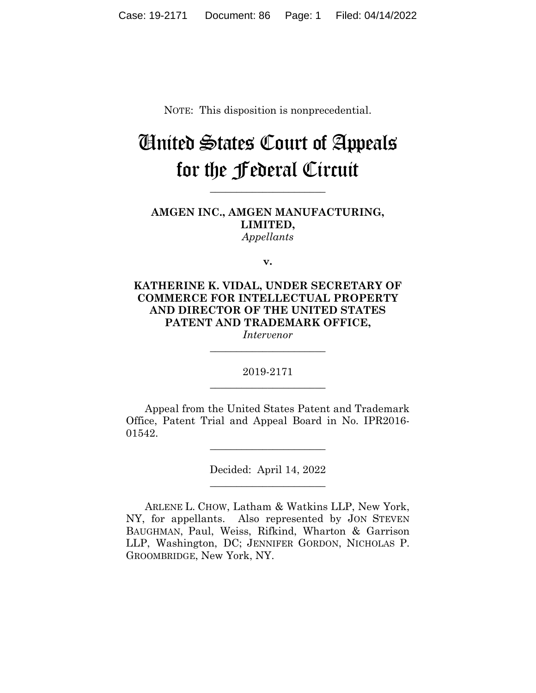NOTE: This disposition is nonprecedential.

# United States Court of Appeals for the Federal Circuit

**AMGEN INC., AMGEN MANUFACTURING, LIMITED,** *Appellants*

**\_\_\_\_\_\_\_\_\_\_\_\_\_\_\_\_\_\_\_\_\_\_** 

**v.**

**KATHERINE K. VIDAL, UNDER SECRETARY OF COMMERCE FOR INTELLECTUAL PROPERTY AND DIRECTOR OF THE UNITED STATES PATENT AND TRADEMARK OFFICE,**

*Intervenor* **\_\_\_\_\_\_\_\_\_\_\_\_\_\_\_\_\_\_\_\_\_\_** 

2019-2171 **\_\_\_\_\_\_\_\_\_\_\_\_\_\_\_\_\_\_\_\_\_\_** 

Appeal from the United States Patent and Trademark Office, Patent Trial and Appeal Board in No. IPR2016- 01542.

 $\overline{\phantom{a}}$  , where  $\overline{\phantom{a}}$  , where  $\overline{\phantom{a}}$  , where  $\overline{\phantom{a}}$ 

Decided: April 14, 2022  $\overline{\phantom{a}}$  , where  $\overline{\phantom{a}}$  , where  $\overline{\phantom{a}}$  , where  $\overline{\phantom{a}}$ 

ARLENE L. CHOW, Latham & Watkins LLP, New York, NY, for appellants. Also represented by JON STEVEN BAUGHMAN, Paul, Weiss, Rifkind, Wharton & Garrison LLP, Washington, DC; JENNIFER GORDON, NICHOLAS P. GROOMBRIDGE, New York, NY.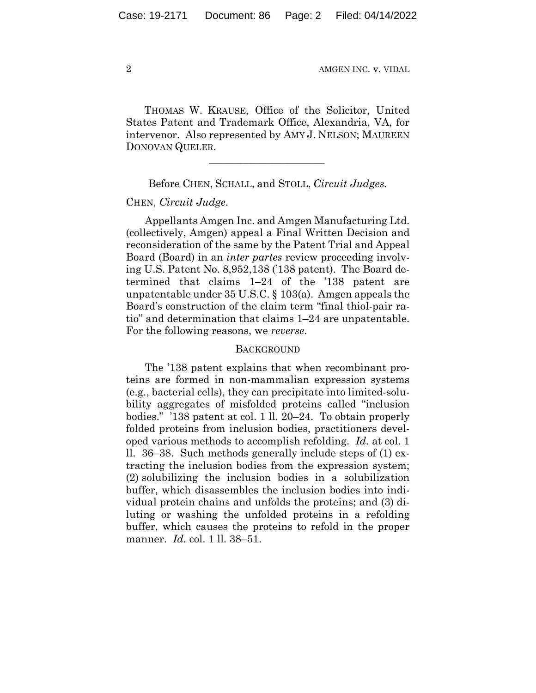THOMAS W. KRAUSE, Office of the Solicitor, United States Patent and Trademark Office, Alexandria, VA, for intervenor. Also represented by AMY J. NELSON; MAUREEN DONOVAN QUELER.

### Before CHEN, SCHALL, and STOLL, *Circuit Judges.*

 $\mathcal{L}_\text{max}$  and  $\mathcal{L}_\text{max}$  and  $\mathcal{L}_\text{max}$  and  $\mathcal{L}_\text{max}$ 

### CHEN, *Circuit Judge*.

Appellants Amgen Inc. and Amgen Manufacturing Ltd. (collectively, Amgen) appeal a Final Written Decision and reconsideration of the same by the Patent Trial and Appeal Board (Board) in an *inter partes* review proceeding involving U.S. Patent No. 8,952,138 ('138 patent). The Board determined that claims 1–24 of the '138 patent are unpatentable under 35 U.S.C. § 103(a). Amgen appeals the Board's construction of the claim term "final thiol-pair ratio" and determination that claims 1–24 are unpatentable. For the following reasons, we *reverse*.

### **BACKGROUND**

The '138 patent explains that when recombinant proteins are formed in non-mammalian expression systems (e.g., bacterial cells), they can precipitate into limited-solubility aggregates of misfolded proteins called "inclusion bodies." '138 patent at col. 1 ll. 20–24. To obtain properly folded proteins from inclusion bodies, practitioners developed various methods to accomplish refolding. *Id.* at col. 1 ll. 36–38. Such methods generally include steps of (1) extracting the inclusion bodies from the expression system; (2) solubilizing the inclusion bodies in a solubilization buffer, which disassembles the inclusion bodies into individual protein chains and unfolds the proteins; and (3) diluting or washing the unfolded proteins in a refolding buffer, which causes the proteins to refold in the proper manner. *Id.* col. 1 ll. 38–51.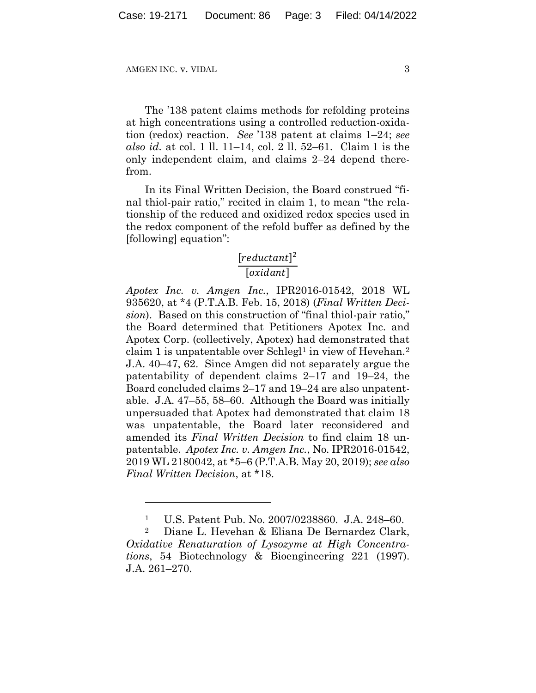The '138 patent claims methods for refolding proteins at high concentrations using a controlled reduction-oxidation (redox) reaction. *See* '138 patent at claims 1–24; *see also id.* at col. 1 ll. 11–14, col. 2 ll. 52–61. Claim 1 is the only independent claim, and claims 2–24 depend therefrom.

In its Final Written Decision, the Board construed "final thiol-pair ratio," recited in claim 1, to mean "the relationship of the reduced and oxidized redox species used in the redox component of the refold buffer as defined by the [following] equation":

# $[reductant]^2$  $[oxidant]$

*Apotex Inc. v. Amgen Inc.*, IPR2016-01542, 2018 WL 935620, at \*4 (P.T.A.B. Feb. 15, 2018) (*Final Written Decision*). Based on this construction of "final thiol-pair ratio," the Board determined that Petitioners Apotex Inc. and Apotex Corp. (collectively, Apotex) had demonstrated that claim 1 is unpatentable over Schlegl<sup>1</sup> in view of Hevehan.<sup>2</sup> J.A. 40–47, 62. Since Amgen did not separately argue the patentability of dependent claims 2–17 and 19–24, the Board concluded claims 2–17 and 19–24 are also unpatentable. J.A. 47–55, 58–60. Although the Board was initially unpersuaded that Apotex had demonstrated that claim 18 was unpatentable, the Board later reconsidered and amended its *Final Written Decision* to find claim 18 unpatentable. *Apotex Inc. v. Amgen Inc.*, No. IPR2016-01542, 2019 WL 2180042, at \*5–6 (P.T.A.B. May 20, 2019); *see also Final Written Decision*, at \*18.

<sup>1</sup> U.S. Patent Pub. No. 2007/0238860. J.A. 248–60.

<sup>2</sup> Diane L. Hevehan & Eliana De Bernardez Clark, *Oxidative Renaturation of Lysozyme at High Concentrations*, 54 Biotechnology & Bioengineering 221 (1997). J.A. 261–270.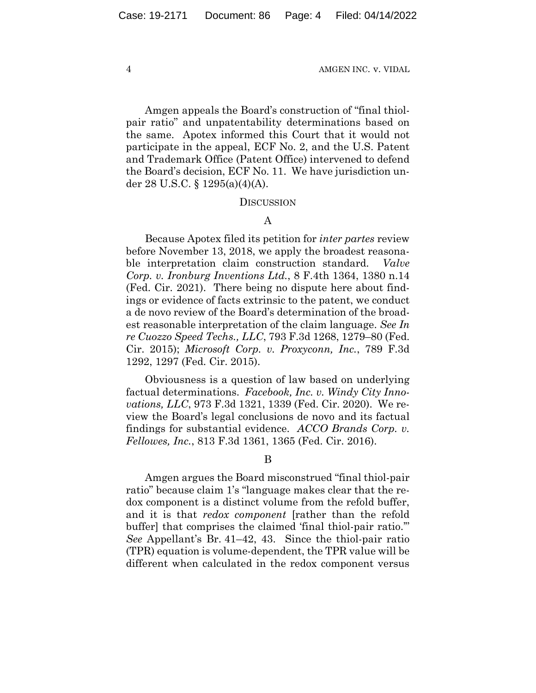Amgen appeals the Board's construction of "final thiolpair ratio" and unpatentability determinations based on the same. Apotex informed this Court that it would not participate in the appeal, ECF No. 2, and the U.S. Patent and Trademark Office (Patent Office) intervened to defend the Board's decision, ECF No. 11. We have jurisdiction under 28 U.S.C. § 1295(a)(4)(A).

#### **DISCUSSION**

# A

Because Apotex filed its petition for *inter partes* review before November 13, 2018, we apply the broadest reasonable interpretation claim construction standard. *Valve Corp. v. Ironburg Inventions Ltd.*, 8 F.4th 1364, 1380 n.14 (Fed. Cir. 2021). There being no dispute here about findings or evidence of facts extrinsic to the patent, we conduct a de novo review of the Board's determination of the broadest reasonable interpretation of the claim language. *See In re Cuozzo Speed Techs., LLC*, 793 F.3d 1268, 1279–80 (Fed. Cir. 2015); *Microsoft Corp. v. Proxyconn, Inc.*, 789 F.3d 1292, 1297 (Fed. Cir. 2015).

Obviousness is a question of law based on underlying factual determinations. *Facebook, Inc. v. Windy City Innovations, LLC*, 973 F.3d 1321, 1339 (Fed. Cir. 2020). We review the Board's legal conclusions de novo and its factual findings for substantial evidence. *ACCO Brands Corp. v. Fellowes, Inc.*, 813 F.3d 1361, 1365 (Fed. Cir. 2016).

B

Amgen argues the Board misconstrued "final thiol-pair ratio" because claim 1's "language makes clear that the redox component is a distinct volume from the refold buffer, and it is that *redox component* [rather than the refold buffer] that comprises the claimed 'final thiol-pair ratio.'" *See* Appellant's Br. 41–42, 43. Since the thiol-pair ratio (TPR) equation is volume-dependent, the TPR value will be different when calculated in the redox component versus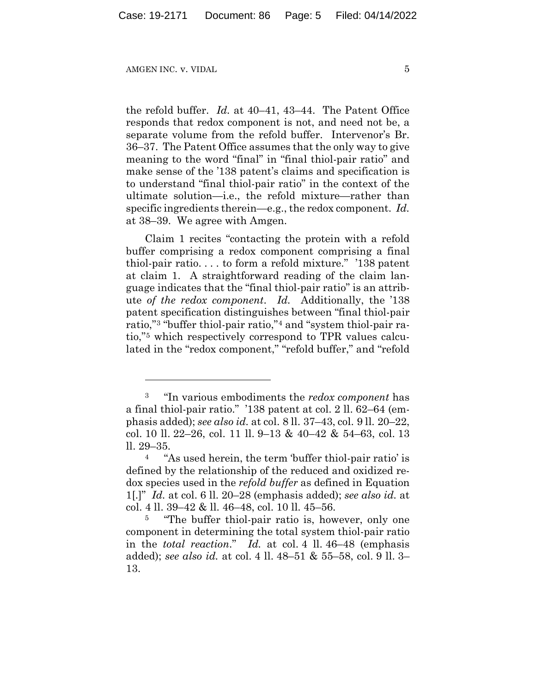the refold buffer. *Id.* at 40–41, 43–44. The Patent Office responds that redox component is not, and need not be, a separate volume from the refold buffer. Intervenor's Br. 36–37. The Patent Office assumes that the only way to give meaning to the word "final" in "final thiol-pair ratio" and make sense of the '138 patent's claims and specification is to understand "final thiol-pair ratio" in the context of the ultimate solution—i.e., the refold mixture—rather than specific ingredients therein—e.g., the redox component. *Id.* at 38–39. We agree with Amgen.

Claim 1 recites "contacting the protein with a refold buffer comprising a redox component comprising a final thiol-pair ratio. . . . to form a refold mixture." '138 patent at claim 1. A straightforward reading of the claim language indicates that the "final thiol-pair ratio" is an attribute *of the redox component*. *Id.* Additionally, the '138 patent specification distinguishes between "final thiol-pair ratio,"3 "buffer thiol-pair ratio,"4 and "system thiol-pair ratio,"5 which respectively correspond to TPR values calculated in the "redox component," "refold buffer," and "refold

<sup>3 &</sup>quot;In various embodiments the *redox component* has a final thiol-pair ratio." '138 patent at col. 2 ll. 62–64 (emphasis added); *see also id.* at col. 8 ll. 37–43, col. 9 ll. 20–22, col. 10 ll. 22–26, col. 11 ll. 9–13 & 40–42 & 54–63, col. 13 ll. 29–35.

<sup>4 &</sup>quot;As used herein, the term 'buffer thiol-pair ratio' is defined by the relationship of the reduced and oxidized redox species used in the *refold buffer* as defined in Equation 1[.]" *Id.* at col. 6 ll. 20–28 (emphasis added); *see also id.* at col. 4 ll. 39–42 & ll. 46–48, col. 10 ll. 45–56.

<sup>&</sup>lt;sup>5</sup> "The buffer thiol-pair ratio is, however, only one component in determining the total system thiol-pair ratio in the *total reaction*." *Id.* at col. 4 ll. 46–48 (emphasis added); *see also id.* at col. 4 ll. 48–51 & 55–58, col. 9 ll. 3– 13.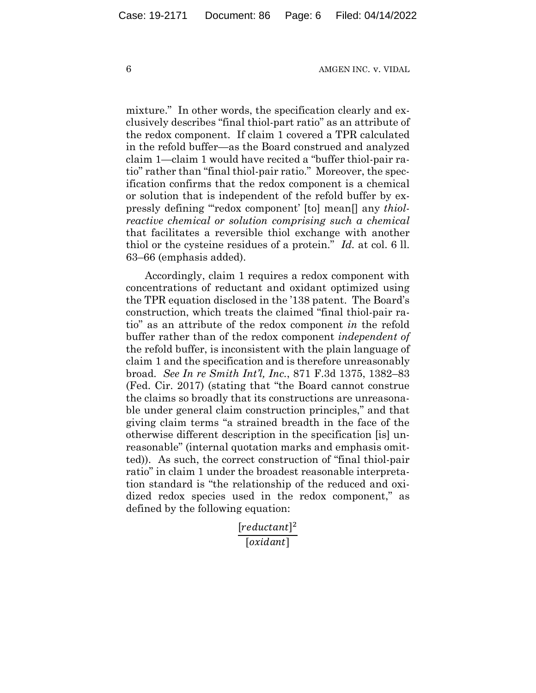mixture." In other words, the specification clearly and exclusively describes "final thiol-part ratio" as an attribute of the redox component. If claim 1 covered a TPR calculated in the refold buffer—as the Board construed and analyzed claim 1—claim 1 would have recited a "buffer thiol-pair ratio" rather than "final thiol-pair ratio." Moreover, the specification confirms that the redox component is a chemical or solution that is independent of the refold buffer by expressly defining "'redox component' [to] mean[] any *thiolreactive chemical or solution comprising such a chemical* that facilitates a reversible thiol exchange with another thiol or the cysteine residues of a protein." *Id.* at col. 6 ll. 63–66 (emphasis added).

Accordingly, claim 1 requires a redox component with concentrations of reductant and oxidant optimized using the TPR equation disclosed in the '138 patent. The Board's construction, which treats the claimed "final thiol-pair ratio" as an attribute of the redox component *in* the refold buffer rather than of the redox component *independent of* the refold buffer, is inconsistent with the plain language of claim 1 and the specification and is therefore unreasonably broad. *See In re Smith Int'l, Inc.*, 871 F.3d 1375, 1382–83 (Fed. Cir. 2017) (stating that "the Board cannot construe the claims so broadly that its constructions are unreasonable under general claim construction principles," and that giving claim terms "a strained breadth in the face of the otherwise different description in the specification [is] unreasonable" (internal quotation marks and emphasis omitted)). As such, the correct construction of "final thiol-pair ratio" in claim 1 under the broadest reasonable interpretation standard is "the relationship of the reduced and oxidized redox species used in the redox component," as defined by the following equation:

> $[reductant]^2$  $[oxidant]$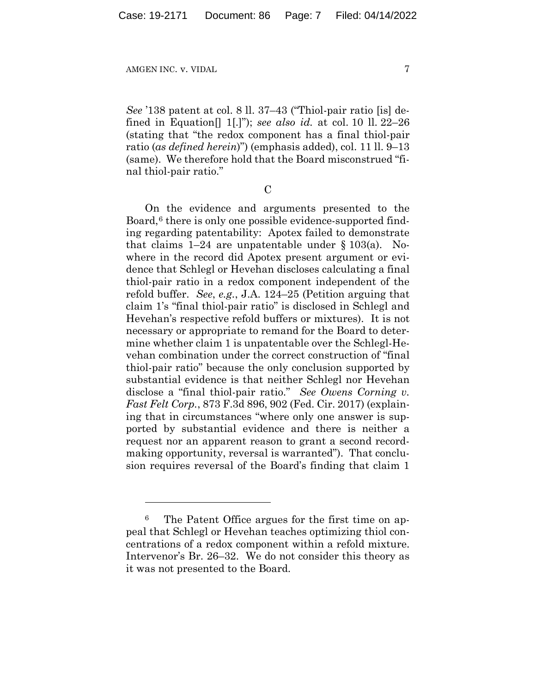*See* '138 patent at col. 8 ll. 37–43 ("Thiol-pair ratio [is] defined in Equation[] 1[.]"); *see also id.* at col. 10 ll. 22–26 (stating that "the redox component has a final thiol-pair ratio (*as defined herein*)") (emphasis added), col. 11 ll. 9–13 (same). We therefore hold that the Board misconstrued "final thiol-pair ratio."

C

On the evidence and arguments presented to the Board,<sup>6</sup> there is only one possible evidence-supported finding regarding patentability: Apotex failed to demonstrate that claims  $1-24$  are unpatentable under § 103(a). Nowhere in the record did Apotex present argument or evidence that Schlegl or Hevehan discloses calculating a final thiol-pair ratio in a redox component independent of the refold buffer. *See*, *e.g.*, J.A. 124–25 (Petition arguing that claim 1's "final thiol-pair ratio" is disclosed in Schlegl and Hevehan's respective refold buffers or mixtures). It is not necessary or appropriate to remand for the Board to determine whether claim 1 is unpatentable over the Schlegl-Hevehan combination under the correct construction of "final thiol-pair ratio" because the only conclusion supported by substantial evidence is that neither Schlegl nor Hevehan disclose a "final thiol-pair ratio." *See Owens Corning v. Fast Felt Corp.*, 873 F.3d 896, 902 (Fed. Cir. 2017) (explaining that in circumstances "where only one answer is supported by substantial evidence and there is neither a request nor an apparent reason to grant a second recordmaking opportunity, reversal is warranted"). That conclusion requires reversal of the Board's finding that claim 1

<sup>6</sup> The Patent Office argues for the first time on appeal that Schlegl or Hevehan teaches optimizing thiol concentrations of a redox component within a refold mixture. Intervenor's Br. 26–32. We do not consider this theory as it was not presented to the Board.